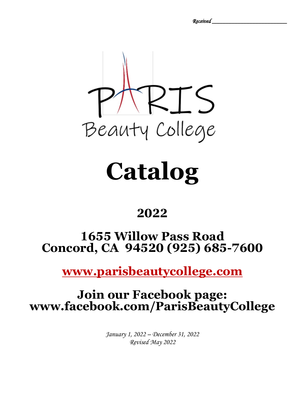*Received \_\_\_\_\_\_\_\_\_\_\_\_\_\_\_\_\_\_\_\_\_\_\_\_\_* 



# **Catalog**

## **2022**

## **1655 Willow Pass Road Concord, CA 94520 (925) 685-7600**

**[www.parisbeautycollege.com](http://www.parisbeautycollege.com/)**

## **Join our Facebook page: www.facebook.com/ParisBeautyCollege**

*January 1, 2022 – December 31, 2022 Revised May 2022*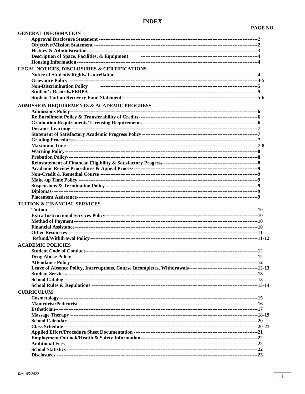| <b>GENERAL INFORMATION</b>                                                                                                                                                                                                          |  |
|-------------------------------------------------------------------------------------------------------------------------------------------------------------------------------------------------------------------------------------|--|
|                                                                                                                                                                                                                                     |  |
|                                                                                                                                                                                                                                     |  |
|                                                                                                                                                                                                                                     |  |
| Description of Space, Facilities, & Equipment <b>Figure 2.1 (2014)</b> 1.1 (2014) 1.4 (2015) 1.4 (2015) 1.4 (2016) 1.4 (2016) 1.4 (2016) 1.4 (2016) 1.4 (2016) 1.5 (2016) 1.5 (2016) 1.5 (2016) 1.5 (2016) 1.5 (2016) 1.5 (2016) 1. |  |
|                                                                                                                                                                                                                                     |  |
| LEGAL NOTICES, DISCLOSURES & CERTIFICATIONS                                                                                                                                                                                         |  |
| <b>Notice of Students Rights/ Cancellation</b>                                                                                                                                                                                      |  |
|                                                                                                                                                                                                                                     |  |
|                                                                                                                                                                                                                                     |  |
|                                                                                                                                                                                                                                     |  |
|                                                                                                                                                                                                                                     |  |
| <b>ADMISSION REQUIREMENTS &amp; ACADEMIC PROGRESS</b>                                                                                                                                                                               |  |
|                                                                                                                                                                                                                                     |  |
|                                                                                                                                                                                                                                     |  |
|                                                                                                                                                                                                                                     |  |
|                                                                                                                                                                                                                                     |  |
|                                                                                                                                                                                                                                     |  |
|                                                                                                                                                                                                                                     |  |
|                                                                                                                                                                                                                                     |  |
|                                                                                                                                                                                                                                     |  |
|                                                                                                                                                                                                                                     |  |
|                                                                                                                                                                                                                                     |  |
|                                                                                                                                                                                                                                     |  |
|                                                                                                                                                                                                                                     |  |
|                                                                                                                                                                                                                                     |  |
|                                                                                                                                                                                                                                     |  |
|                                                                                                                                                                                                                                     |  |
|                                                                                                                                                                                                                                     |  |
|                                                                                                                                                                                                                                     |  |
| <b>TUITION &amp; FINANCIAL SERVICES</b>                                                                                                                                                                                             |  |
|                                                                                                                                                                                                                                     |  |
|                                                                                                                                                                                                                                     |  |
|                                                                                                                                                                                                                                     |  |
|                                                                                                                                                                                                                                     |  |
|                                                                                                                                                                                                                                     |  |
|                                                                                                                                                                                                                                     |  |
| <b>ACADEMIC POLICIES</b>                                                                                                                                                                                                            |  |
|                                                                                                                                                                                                                                     |  |
|                                                                                                                                                                                                                                     |  |
|                                                                                                                                                                                                                                     |  |
|                                                                                                                                                                                                                                     |  |
|                                                                                                                                                                                                                                     |  |
|                                                                                                                                                                                                                                     |  |
|                                                                                                                                                                                                                                     |  |
| <b>CURRICULUM</b>                                                                                                                                                                                                                   |  |
|                                                                                                                                                                                                                                     |  |
|                                                                                                                                                                                                                                     |  |
|                                                                                                                                                                                                                                     |  |
|                                                                                                                                                                                                                                     |  |
|                                                                                                                                                                                                                                     |  |
|                                                                                                                                                                                                                                     |  |
|                                                                                                                                                                                                                                     |  |
|                                                                                                                                                                                                                                     |  |
|                                                                                                                                                                                                                                     |  |
|                                                                                                                                                                                                                                     |  |
|                                                                                                                                                                                                                                     |  |
|                                                                                                                                                                                                                                     |  |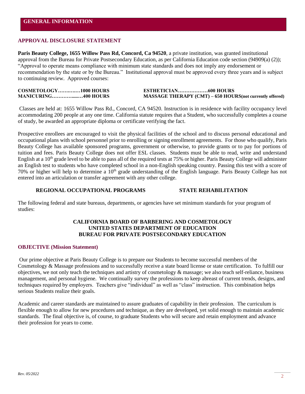#### **APPROVAL DISCLOSURE STATEMENT**

**Paris Beauty College, 1655 Willow Pass Rd, Concord, Ca 94520**, a private institution, was granted institutional approval from the Bureau for Private Postsecondary Education, as per California Education code section (94909(a) (2)); "Approval to operate means compliance with minimum state standards and does not imply any endorsement or recommendation by the state or by the Bureau." Institutional approval must be approved every three years and is subject to continuing review. Approved courses:

**COSMETOLOGY…….….…1000 HOURS ESTHETICIAN………………600 HOURS MANICURING………….....…400 HOURS MASSAGE THERAPY (CMT) – 650 HOURS(not currently offered)** 

Classes are held at: 1655 Willow Pass Rd., Concord, CA 94520. Instruction is in residence with facility occupancy level accommodating 200 people at any one time. California statute requires that a Student, who successfully completes a course of study, be awarded an appropriate diploma or certificate verifying the fact.

Prospective enrollees are encouraged to visit the physical facilities of the school and to discuss personal educational and occupational plans with school personnel prior to enrolling or signing enrollment agreements. For those who qualify, Paris Beauty College has available sponsored programs, government or otherwise, to provide grants or to pay for portions of tuition and fees. Paris Beauty College does not offer ESL classes. Students must be able to read, write and understand English at a  $10<sup>th</sup>$  grade level to be able to pass all of the required tests at 75% or higher. Paris Beauty College will administer an English test to students who have completed school in a non-English speaking country. Passing this test with a score of 70% or higher will help to determine a 10th grade understanding of the English language. Paris Beauty College has not entered into an articulation or transfer agreement with any other college.

#### **REGIONAL OCCUPATIONAL PROGRAMS STATE REHABILITATION**

The following federal and state bureaus, departments, or agencies have set minimum standards for your program of studies:

#### **CALIFORNIA BOARD OF BARBERING AND COSMETOLOGY UNITED STATES DEPARTMENT OF EDUCATION BUREAU FOR PRIVATE POSTSECONDARY EDUCATION**

#### **OBJECTIVE (Mission Statement)**

Our prime objective at Paris Beauty College is to prepare our Students to become successful members of the Cosmetology & Massage professions and to successfully receive a state board license or state certification. To fulfill our objectives, we not only teach the techniques and artistry of cosmetology  $\&$  massage; we also teach self-reliance, business management, and personal hygiene. We continually survey the professions to keep abreast of current trends, designs, and techniques required by employers. Teachers give "individual" as well as "class" instruction. This combination helps serious Students realize their goals.

Academic and career standards are maintained to assure graduates of capability in their profession. The curriculum is flexible enough to allow for new procedures and technique, as they are developed, yet solid enough to maintain academic standards. The final objective is, of course, to graduate Students who will secure and retain employment and advance their profession for years to come.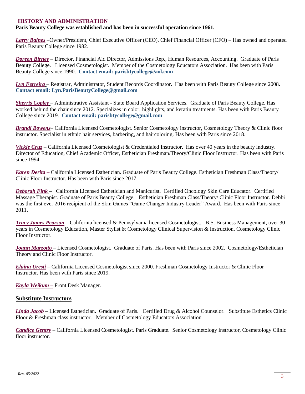#### **HISTORY AND ADMINISTRATION**

#### **Paris Beauty College was established and has been in successful operation since 1961.**

*Larry Baines* –Owner/President, Chief Executive Officer (CEO), Chief Financial Officer (CFO) – Has owned and operated Paris Beauty College since 1982.

*Doreen Birney* – Director, Financial Aid Director, Admissions Rep., Human Resources, Accounting. Graduate of Paris Beauty College. Licensed Cosmetologist. Member of the Cosmetology Educators Association. Has been with Paris Beauty College since 1990. **Contact email: parisbtycollege@aol.com**

*Lyn Ferreira* – Registrar, Administrator, Student Records Coordinator. Has been with Paris Beauty College since 2008. **Contact email: Lyn.ParisBeautyCollege@gmail.com**

*Sherris Copley* – Administrative Assistant - State Board Application Services. Graduate of Paris Beauty College. Has worked behind the chair since 2012. Specializes in color, highlights, and keratin treatments. Has been with Paris Beauty College since 2019. **Contact email: parisbtycollege@gmail.com**

*Brandi Bowens*– California Licensed Cosmetologist. Senior Cosmetology instructor, Cosmetology Theory & Clinic floor instructor. Specialist in ethnic hair services, barbering, and haircoloring. Has been with Paris since 2018.

*Vickie Cruz* – California Licensed Cosmetologist & Credentialed Instructor. Has over 40 years in the beauty industry. Director of Education, Chief Academic Officer, Esthetician Freshman/Theory/Clinic Floor Instructor. Has been with Paris since 1994.

*Karen Derita –* California Licensed Esthetician. Graduate of Paris Beauty College. Esthetician Freshman Class/Theory/ Clinic Floor Instructor. Has been with Paris since 2017.

*Deborah Fink –* California Licensed Esthetician and Manicurist. Certified Oncology Skin Care Educator. Certified Massage Therapist. Graduate of Paris Beauty College. Esthetician Freshman Class/Theory/ Clinic Floor Instructor. Debbi was the first ever 2016 recipient of the Skin Games "Game Changer Industry Leader" Award. Has been with Paris since 2011.

*Tracy James Pearson* – California licensed & Pennsylvania licensed Cosmetologist. B.S. Business Management, over 30 years in Cosmetology Education, Master Stylist & Cosmetology Clinical Supervision & Instruction. Cosmetology Clinic Floor Instructor.

*Joann Marzotto* – Licensed Cosmetologist. Graduate of Paris. Has been with Paris since 2002. Cosmetology/Esthetician Theory and Clinic Floor Instructor.

*Elaina Uresti* – California Licensed Cosmetologist since 2000. Freshman Cosmetology Instructor & Clinic Floor Instructor. Has been with Paris since 2019.

*Kayla Weikum –* Front Desk Manager.

#### **Substitute Instructors**

*Linda Jacob –* Licensed Esthetician. Graduate of Paris. Certified Drug & Alcohol Counselor. Substitute Esthetics Clinic Floor & Freshman class instructor. Member of Cosmetology Educators Association

*Candice Gentry* – California Licensed Cosmetologist. Paris Graduate. Senior Cosmetology instructor, Cosmetology Clinic floor instructor.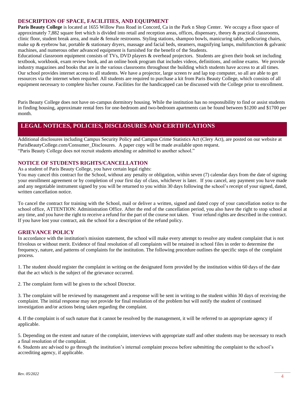#### **DESCRIPTION OF SPACE, FACILITIES, AND EQUIPMENT**

**Paris Beauty College** is located at 1655 Willow Pass Road in Concord, Ca in the Park n Shop Center. We occupy a floor space of approximately 7,882 square feet which is divided into retail and reception areas, offices, dispensary, theory & practical classrooms, clinic floor, student break area, and male & female restrooms. Styling stations, shampoo bowls, manicuring table, pedicuring chairs, make up  $\&$  eyebrow bar, portable  $\&$  stationary dryers, massage and facial beds, steamers, magnifying lamps, multifunction  $\&$  galvanic machines, and numerous other advanced equipment is furnished for the benefit of the Students.

Educational classroom equipment consists of TVs, DVD players & overhead projectors. Students are given their book set including textbook, workbook, exam review book, and an online book program that includes videos, definitions, and online exams. We provide industry magazines and books that are in the various classrooms throughout the building which students have access to at all times. Our school provides internet access to all students. We have a projector, large screen tv and lap top computer, so all are able to get resources via the internet when required. All students are required to purchase a kit from Paris Beauty College, which consists of all equipment necessary to complete his/her course. Facilities for the handicapped can be discussed with the College prior to enrollment.

Paris Beauty College does not have on-campus dormitory housing. While the institution has no responsibility to find or assist students in finding housing, approximate rental fees for one-bedroom and two-bedroom apartments can be found between \$1200 and \$1700 per month.

### **LEGAL NOTICES, POLICIES, DISCLOSURES AND CERTIFICATIONS**

Additional disclosures including Campus Security Policy and Campus Crime Statistics Act (Clery Act), are posted on our website at ParisBeautyCollege.com/Consumer\_Disclosures. A paper copy will be made available upon request. "Paris Beauty College does not recruit students attending or admitted to another school."

#### **NOTICE OF STUDENTS RIGHTS/CANCELLATION**

As a student of Paris Beauty College, you have certain legal rights:

You may cancel this contract for the School, without any penalty or obligation, within seven (7) calendar days from the date of signing your enrollment agreement or by completion of your first day of class, whichever is later. If you cancel, any payment you have made and any negotiable instrument signed by you will be returned to you within 30 days following the school's receipt of your signed, dated, written cancellation notice.

To cancel the contract for training with the School, mail or deliver a written, signed and dated copy of your cancellation notice to the school office, ATTENTION: Administration Office. After the end of the cancellation period, you also have the right to stop school at any time, and you have the right to receive a refund for the part of the course not taken. Your refund rights are described in the contract. If you have lost your contract, ask the school for a description of the refund policy.

#### **GRIEVANCE POLICY**

In accordance with the institution's mission statement, the school will make every attempt to resolve any student complaint that is not frivolous or without merit. Evidence of final resolution of all complaints will be retained in school files in order to determine the frequency, nature, and patterns of complaints for the institution. The following procedure outlines the specific steps of the complaint process.

1. The student should register the complaint in writing on the designated form provided by the institution within 60 days of the date that the act which is the subject of the grievance occurred.

2. The complaint form will be given to the school Director.

3. The complaint will be reviewed by management and a response will be sent in writing to the student within 30 days of receiving the complaint. The initial response may not provide for final resolution of the problem but will notify the student of continued investigation and/or actions being taken regarding the complaint.

4. If the complaint is of such nature that it cannot be resolved by the management, it will be referred to an appropriate agency if applicable.

5. Depending on the extent and nature of the complaint, interviews with appropriate staff and other students may be necessary to reach a final resolution of the complaint.

6. Students are advised to go through the institution's internal complaint process before submitting the complaint to the school's accrediting agency, if applicable.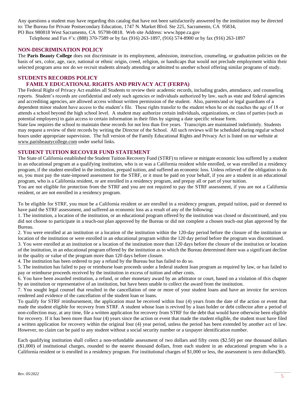Any questions a student may have regarding this catalog that have not been satisfactorily answered by the institution may be directed to: The Bureau for Private Postsecondary Education, 1747 N. Market Blvd. Ste 225, Sacramento, CA 95834, PO Box 980818 West Sacramento, CA 95798-0818. Web site Address: www.bppe.ca.gov

Telephone and Fax #'s: (888) 370-7589 or by fax (916) 263-1897, (916) 574-8900 or by fax (916) 263-1897

#### **NON-DISCRIMINATION POLICY**

The **Paris Beauty College** does not discriminate in its employment, admission, instruction, counseling, or graduation policies on the basis of sex, color, age, race, national or ethnic origin, creed, religion, or handicaps that would not preclude employment within their selected program area nor do we recruit students already attending or admitted to another school offering similar programs of study.

#### **STUDENTS RECORDS POLICY**

#### **FAMILY EDUCATIONAL RIGHTS AND PRIVACY ACT (FERPA)**

The Federal Right of Privacy Act enables all Students to review their academic records, including grades, attendance, and counseling reports. Student's records are confidential and only such agencies or individuals authorized by law, such as state and federal agencies and accrediting agencies, are allowed access without written permission of the student. Also, parents/and or legal guardians of a dependent minor student have access to the student's file. These rights transfer to the student when he or she reaches the age of 18 or attends a school beyond the high school level. A student may authorize certain individuals, organizations, or class of parties (such as potential employers) to gain access to certain information in their files by signing a date specific release form.

State law requires the school to maintain these records for not less than five years. Transcripts are maintained indefinitely. Students may request a review of their records by writing the Director of the School. All such reviews will be scheduled during regular school hours under appropriate supervision. The full version of the Family Educational Rights and Privacy Act is listed on our website at [www.parisbeautycollege.com](http://www.parisbeautycollege.com/) under useful links.

#### **STUDENT TUITION RECOVER FUND STATEMENT**

The State of California established the Student Tuition Recovery Fund (STRF) to relieve or mitigate economic loss suffered by a student in an educational program at a qualifying institution, who is or was a California resident while enrolled, or was enrolled in a residency program, if the student enrolled in the institution, prepaid tuition, and suffered an economic loss. Unless relieved of the obligation to do so, you must pay the state-imposed assessment for the STRF, or it must be paid on your behalf, if you are a student in an educational program, who is a California resident, or are enrolled in a residency program, and prepay all or part of your tuition.

You are not eligible for protection from the STRF and you are not required to pay the STRF assessment, if you are not a California resident, or are not enrolled in a residency program.

To be eligible for STRF, you must be a California resident or are enrolled in a residency program, prepaid tuition, paid or deemed to have paid the STRF assessment, and suffered an economic loss as a result of any of the following:

1. The institution, a location of the institution, or an educational program offered by the institution was closed or discontinued, and you did not choose to participate in a teach-out plan approved by the Bureau or did not complete a chosen teach-out plan approved by the Bureau.

2. You were enrolled at an institution or a location of the institution within the 120-day period before the closure of the institution or location of the institution or were enrolled in an educational program within the 120 day period before the program was discontinued.

3. You were enrolled at an institution or a location of the institution more than 120 days before the closure of the institution or location of the institution, in an educational program offered by the institution as to which the Bureau determined there was a significant decline in the quality or value of the program more than 120 days before closure.

4. The institution has been ordered to pay a refund by the Bureau but has failed to do so.

5. The institution has failed to pay or reimburse loan proceeds under a federal student loan program as required by law, or has failed to pay or reimburse proceeds received by the institution in excess of tuition and other costs.

6. You have been awarded restitution, a refund, or other monetary award by an arbitrator or court, based on a violation of this chapter by an institution or representative of an institution, but have been unable to collect the award from the institution.

7. You sought legal counsel that resulted in the cancellation of one or more of your student loans and have an invoice for services rendered and evidence of the cancellation of the student loan or loans.

To qualify for STRF reimbursement, the application must be received within four (4) years from the date of the action or event that made the student eligible for recovery from STRF. A student whose loan is revived by a loan holder or debt collector after a period of non-collection may, at any time, file a written application for recovery from STRF for the debt that would have otherwise been eligible for recovery. If it has been more than four (4) years since the action or event that made the student eligible, the student must have filed a written application for recovery within the original four (4) year period, unless the period has been extended by another act of law. However, no claim can be paid to any student without a social security number or a taxpayer identification number.

Each qualifying institution shall collect a non-refundable assessment of two dollars and fifty cents (\$2.50) per one thousand dollars (\$1,000) of institutional charges, rounded to the nearest thousand dollars, from each student in an educational program who is a California resident or is enrolled in a residency program. For institutional charges of \$1,000 or less, the assessment is zero dollars(\$0).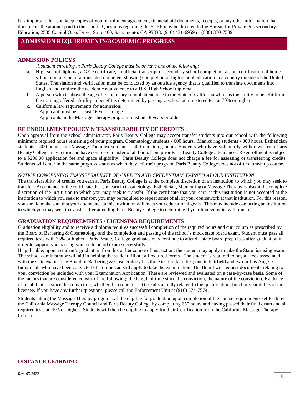It is important that you keep copies of your enrollment agreement, financial aid documents, receipts, or any other information that documents the amount paid to the school. Questions regarding the STRF may be directed to the Bureau for Private Postsecondary Education, 2535 Capitol Oaks Drive, Suite 400, Sacramento, CA 95833, (916) 431-6959 or (888) 370-7589.

### **ADMISSION REQUIREMENTS/ACADEMIC PROGRESS**

#### **ADMISSION POLICYS**

 *A student enrolling in Paris Beauty College must be or have one of the following:*

- High school diploma, a GED certificate, an official transcript of secondary school completion, a state certification of homeschool completion or a translated document showing completion of high school education in a country outside of the United States. Translation and verification must be conducted by an outside agency that is qualified to translate documents into English and confirm the academic equivalence to a U.S. High School diploma.
- b. A person who is above the age of compulsory school attendance in the State of California who has the ability to benefit from the training offered. Ability to benefit is determined by passing a school administered test at 70% or higher.
- c. California law requirements for admission: Applicant must be at least 16 years of age. Applicants in the Massage Therapy program must be 18 years or older

#### **RE ENROLLMENT POLICY & TRANSFERABILITY OF CREDITS**

Upon approval from the school administrator, Paris Beauty College may accept transfer students into our school with the following minimum required hours remaining of your program. Cosmetology students - 600 hours. Manicuring students - 300 hours, Esthetician students - 400 hours, and Massage Therapist students – 400 remaining hours. Students who have voluntarily withdrawn from Paris Beauty College may return and have complete transfer of all hours from prior Paris Beauty College attendance. Re enrollment is subject to a \$200.00 application fee and space eligibility. Paris Beauty College does not charge a fee for assessing or transferring credits. Students will enter in the same progress status as when they left their program. Paris Beauty College does not offer a brush up course.

#### *NOTICE CONCERNING TRANSFERABILITY OF CREDITS AND CREDENTIALS EARNED AT OUR INSTITUTION*

The transferability of credits you earn at Paris Beauty College is at the complete discretion of an institution to which you may seek to transfer. Acceptance of the certificate that you earn in Cosmetology, Esthetician, Manicuring or Massage Therapy is also at the complete discretion of the institution to which you may seek to transfer. If the certificate that you earn at this institution is not accepted at the institution to which you seek to transfer, you may be required to repeat some of all of your coursework at that institution. For this reason, you should make sure that your attendance at this institution will meet your educational goals. This may include contacting an institution to which you may seek to transfer after attending Paris Beauty College to determine if your hours/credits will transfer.

#### **GRADUATION REQUIREMENTS / LICENSING REQUIREMENTS**

Graduation eligibility and to receive a diploma requires successful completion of the required hours and curriculum as prescribed by the Board of Barbering & Cosmetology and the completion and passing of the school's mock state board exam. Student must pass all required tests with 75% or higher. Paris Beauty College graduates may continue to attend a state board prep class after graduation in order to support you passing your state board exam successfully.

If applicable, upon a student's graduation from his or her course of instruction, the student may apply to take the State licensing exam. The school administrator will aid in helping the student fill out all required forms. The student is required to pay all fees associated with the state exam. The Board of Barbering & Cosmetology has three testing facilities; one in Fairfield and two in Los Angeles. Individuals who have been convicted of a crime can still apply to take the examination. The Board will request documents relating to your conviction be included with your [Examination Application.](http://www.barbercosmo.ca.gov/forms_pubs/index.shtml#exam) These are reviewed and evaluated on a case-by-case basis. Some of the factors that are considered consist of the following: the length of time since the conviction, the nature of the conviction, Evidence of rehabilitation since the conviction, whether the crime (or act) is substantially related to the qualification, functions, or duties of the licensee. If you have any further questions, please call the Enforcement Unit at (916) 574-7574.

Students taking the Massage Therapy program will be eligible for graduation upon completion of the course requirements set forth by the California Massage Therapy Council and Paris Beauty College by completing 650 hours and having passed their final exam and all required tests at 75% or higher. Students will then be eligible to apply for their Certification from the California Massage Therapy Council.

#### **DISTANCE LEARNING**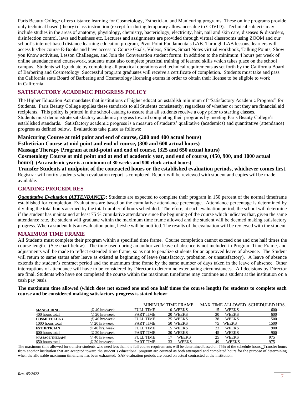Paris Beauty College offers distance learning for Cosmetology, Esthetician, and Manicuring programs. These online programs provide only technical based (theory) class instruction (except for during temporary allowances due to COVID). Technical subjects may include studies in the areas of anatomy, physiology, chemistry, bacteriology, electricity, hair, nail and skin care, diseases & disorders, disinfection control, laws and business etc. Lectures and assignments are provided through virtual classrooms using ZOOM and our school's internet-based distance learning education program, Pivot Point Fundamentals LAB. Through LAB lessons, learners will access his/her course E-Books and have access to Course Goals, Videos, Slides, Smart Notes virtual workbook, Talking Points, Show you Know activities, Lesson Challenges, and Join the Conversation student forum. In addition to the minimum 4 hours per week of online attendance and coursework, students must also complete practical training of learned skills which takes place on the school campus. Students will graduate by completing all practical operations and technical requirements as set forth by the California Board of Barbering and Cosmetology. Successful program graduates will receive a certificate of completion. Students must take and pass the California state Board of Barbering and Cosmetology licensing exams in order to obtain their license to be eligible to work in California.

#### **SATISFACTORY ACADEMIC PROGRESS POLICY**

The Higher Education Act mandates that institutions of higher education establish minimum of "Satisfactory Academic Progress" for Students. Paris Beauty College applies these standards to all Students consistently, regardless of whether or not they are financial aid recipients. This policy is printed in the school catalog to assure that all students receive a copy prior to starting classes. Students must demonstrate satisfactory academic progress toward completing their programs by meeting Paris Beauty College's established standards. Satisfactory academic progress is a measure of students' qualitative (academics) and quantitative (attendance) progress as defined below. Evaluations take place as follows:

**Manicuring Course at mid point and end of course, (200 and 400 actual hours)**

**Esthetician Course at mid point and end of course, (300 and 600 actual hours)**

**Massage Therapy Program at mid-point and end of course, (325 and 650 actual hours)**

**Cosmetology Course at mid point and at end of academic year, and end of course, (450, 900, and 1000 actual hours) (An academic year is a minimum of 30 weeks and 900 clock actual hours)**

**Transfer Students at midpoint of the contracted hours or the established evaluation periods, whichever comes first.** Registrar will notify students when evaluation report is completed. Report will be reviewed with student and copies will be made available.

#### **GRADING PROCEDURES**

*Quantitative Evaluation (ATTENDANCE)***:** Students are expected to complete their program in 150 percent of the normal timeframe established for completion. Evaluations are based on the cumulative attendance percentage. Attendance percentage is determined by dividing the total hours accrued by the total number of hours scheduled. Therefore, at each evaluation period, the school will determine if the student has maintained at least 75 % cumulative attendance since the beginning of the course which indicates that, given the same attendance rate, the student will graduate within the maximum time frame allowed and the student will be deemed making satisfactory progress. When a student hits an evaluation point, he/she will be notified. The results of the evaluation will be reviewed with the student.

#### **MAXIMUM TIME FRAME**

All Students must complete their program within a specified time frame. Course completion cannot exceed one and one half times the course length. (See chart below). The time used during an authorized leave of absence is not included in Program Time Frame, and adjustments will be made to reflect extended time frame, so as not to penalize students for an approved leave of absence. The Student will return to same status after leave as existed at beginning of leave (satisfactory, probation, or unsatisfactory). A leave of absence extends the student's contract period and the maximum time frame by the same number of days taken in the leave of absence. Other interruptions of attendance will have to be considered by Director to determine extenuating circumstances. All decisions by Director are final. Students who have not completed the course within the maximum timeframe may continue as a student at the institution on a cash pay basis.

**The maximum time allowed (which does not exceed one and one half times the course length) for students to complete each course and be considered making satisfactory progress is stated below:**

|                        |                      |                  | <b>MINIMUM TIME FRAME</b> |    |              | MAX TIME ALLOWED SCHEDULED HRS. |
|------------------------|----------------------|------------------|---------------------------|----|--------------|---------------------------------|
| <b>MANICURING</b>      | @ 40 hrs/week        | FULL TIME        | 10 WEEKS                  |    | <b>WEEKS</b> | 600                             |
| 400 hours total        | $\omega$ 20 hrs/week | <b>PART TIME</b> | 20 WEEKS                  | 30 | <b>WEEKS</b> | 600                             |
| <b>COSMETOLOGY</b>     | $\omega$ 40 hrs/week | FULL TIME        | 25 WEEKS                  | 38 | <b>WEEKS</b> | 1500                            |
| 1000 hours total       | $\omega$ 20 hrs/week | <b>PART TIME</b> | 50 WEEKS                  | 75 | <b>WEEKS</b> | 1500                            |
| <b>ESTHETICIAN</b>     | @ 40 hrs. week       | FULL TIME        | 15 WEEKS                  | 23 | <b>WEEKS</b> | 900                             |
| 600 hours total        | @ 20 hrs/week        | <b>PART TIME</b> | 30 WEEKS                  | 45 | <b>WEEKS</b> | 900                             |
| <b>MASSAGE THERAPY</b> | @ 40 hrs/week        | <b>FULL TIME</b> | <b>WEEKS</b>              | 25 | <b>WEEKS</b> | 975                             |
| 650 hours total        | @ 20 hrs/week        | <b>PART TIME</b> | <b>WEEKS</b><br>33        | 49 | <b>WEEKS</b> | 975                             |

The maximum time allowed for transfer students who need less than the full course requirements will be determined based on 75% of the schedule hours. Transfer hours from another institution that are accepted toward the student's educational program are counted as both attempted and completed hours for the purpose of determining when the allowable maximum timeframe has been exhausted. SAP evaluation periods are based on actual contracted at the institution.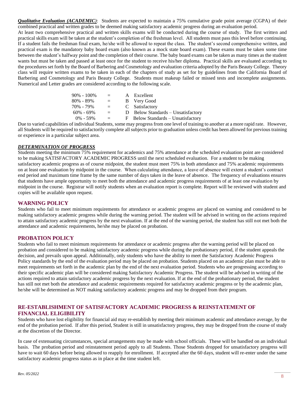*Qualitative Evaluation (ACADEMIC)*: Students are expected to maintain a 75% cumulative grade point average (CGPA) of their combined practical and written grades to be deemed making satisfactory academic progress during an evaluation period.

At least two comprehensive practical and written skills exams will be conducted during the course of study. The first written and practical skills exam will be taken at the student's completion of the freshman level. All students must pass this level before continuing. If a student fails the freshman final exam, he/she will be allowed to repeat the class. The student's second comprehensive written, and practical exam is the mandatory baby board exam (also known as a mock state board exam). These exams must be taken some time between the student's halfway point and the completion of their course. The baby board exams can be taken as many times as the student wants but must be taken and passed at least once for the student to receive his/her diploma. Practical skills are evaluated according to the procedures set forth by the Board of Barbering and Cosmetology and evaluation criteria adopted by the Paris Beauty College. Theory class will require written exams to be taken in each of the chapters of study as set for by guidelines from the California Board of Barbering and Cosmetology and Paris Beauty College. Students must makeup failed or missed tests and incomplete assignments. Numerical and Letter grades are considered according to the following scale.

| 90% - 100%    | $\equiv$ | A Excellent                        |
|---------------|----------|------------------------------------|
| $80\% - 89\%$ | $=$      | B Very Good                        |
| 70% - 79%     | $\equiv$ | C Satisfactory                     |
| $60\% - 69\%$ | $\equiv$ | D Below Standards – Unsatisfactory |
| $0\% - 59\%$  | $=$      | F Below Standards – Unsatisfactory |

Due to varied capabilities of individual Students, some may progress from one level of training to another at a more rapid rate. However, all Students will be required to satisfactorily complete all subjects prior to graduation unless credit has been allowed for previous training or experience in a particular subject area.

#### *DETERMINATION OF PROGRESS*

Students meeting the minimum 75% requirement for academics and 75% attendance at the scheduled evaluation point are considered to be making SATISFACTORY ACADEMIC PROGRESS until the next scheduled evaluation. For a student to be making satisfactory academic progress as of course midpoint, the student must meet 75% in both attendance and 75% academic requirements on at least one evaluation by midpoint in the course. When calculating attendance, a leave of absence will extent a student's contract end period and maximum time frame by the same number of days taken in the leave of absence. The frequency of evaluations ensures that students have ample opportunity to meet both the attendance and academic progress requirements of at least one evaluation by midpoint in the course. Registrar will notify students when an evaluation report is complete. Report will be reviewed with student and copies will be available upon request.

#### **WARNING POLICY**

Students who fail to meet minimum requirements for attendance or academic progress are placed on warning and considered to be making satisfactory academic progress while during the warning period. The student will be advised in writing on the actions required to attain satisfactory academic progress by the next evaluation. If at the end of the warning period, the student has still not met both the attendance and academic requirements, he/she may be placed on probation.

#### **PROBATION POLICY**

Students who fail to meet minimum requirements for attendance or academic progress after the warning period will be placed on probation and considered to be making satisfactory academic progress while during the probationary period, if the student appeals the decision, and prevails upon appeal. Additionally, only students who have the ability to meet the Satisfactory Academic Progress Policy standards by the end of the evaluation period may be placed on probation. Students placed on an academic plan must be able to meet requirements set forth in the academic plan by the end of the next evaluation period. Students who are progressing according to their specific academic plan will be considered making Satisfactory Academic Progress. The student will be advised in writing of the actions required to attain satisfactory academic progress by the next evaluation. If at the end of the probationary period, the student has still not met both the attendance and academic requirements required for satisfactory academic progress or by the academic plan, he/she will be determined as NOT making satisfactory academic progress and may be dropped from their program.

#### **RE-ESTABLISHMENT OF SATISFACTORY ACADEMIC PROGRESS & REINSTATEMENT OF FINANCIAL ELIGIBILITY**

Students who have lost eligibility for financial aid may re-establish by meeting their minimum academic and attendance average, by the end of the probation period. If after this period, Student is still in unsatisfactory progress, they may be dropped from the course of study at the discretion of the Director.

In case of extenuating circumstances, special arrangements may be made with school officials. These will be handled on an individual basis. The probation period and reinstatement period apply to all Students. Those Students dropped for unsatisfactory progress will have to wait 60 days before being allowed to reapply for enrollment. If accepted after the 60 days, student will re-enter under the same satisfactory academic progress status as in place at the time student left.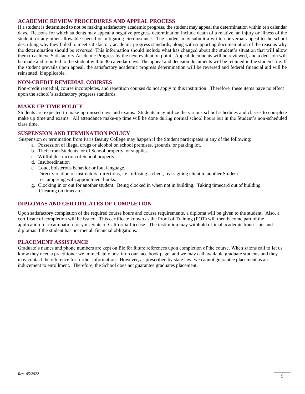#### **ACADEMIC REVIEW PROCEDURES AND APPEAL PROCESS**

If a student is determined to not be making satisfactory academic progress, the student may appeal the determination within ten calendar days. Reasons for which students may appeal a negative progress determination include death of a relative, an injury or illness of the student, or any other allowable special or mitigating circumstance. The student may submit a written or verbal appeal to the school describing why they failed to meet satisfactory academic progress standards, along with supporting documentation of the reasons why the determination should be reversed. This information should include what has changed about the student's situation that will allow them to achieve Satisfactory Academic Progress by the next evaluation point. Appeal documents will be reviewed, and a decision will be made and reported to the student within 30 calendar days. The appeal and decision documents will be retained in the student file. If the student prevails upon appeal, the satisfactory academic progress determination will be reversed and federal financial aid will be reinstated, if applicable.

#### **NON-CREDIT REMEDIAL COURSES**

Non-credit remedial, course incompletes, and repetition courses do not apply to this institution. Therefore, these items have no effect upon the school's satisfactory progress standards.

#### **MAKE-UP TIME POLICY**

Students are expected to make up missed days and exams. Students may utilize the various school schedules and classes to complete make up time and exams. All attendance make-up time will be done during normal school hours but in the Student's non-scheduled class time.

#### **SUSPENSION AND TERMINATION POLICY**

Suspension or termination from Paris Beauty College may happen if the Student participates in any of the following:

- a. Possession of illegal drugs or alcohol on school premises, grounds, or parking lot.
	- b. Theft from Students, or of School property, or supplies.
	- c. Willful destruction of School property.
	- d. Insubordination
	- e. Loud, boisterous behavior or foul language.
	- f. Direct violation of instructors' directions, i.e., refusing a client, reassigning client to another Student or tampering with appointment books.
	- g. Clocking in or out for another student. Being clocked in when not in building. Taking timecard out of building. Cheating on timecard.

#### **DIPLOMAS AND CERTIFICATES OF COMPLETION**

Upon satisfactory completion of the required course hours and course requirements, a diploma will be given to the student. Also, a certificate of completion will be issued. This certificate known as the Proof of Training (POT) will then become part of the application for examination for your State of California License. The institution may withhold official academic transcripts and diplomas if the student has not met all financial obligations.

#### **PLACEMENT ASSISTANCE**

Graduate's names and phone numbers are kept on file for future references upon completion of the course. When salons call to let us know they need a practitioner we immediately post it on our face book page, and we may call available graduate students and they may contact the reference for further information. However, as prescribed by state law, we cannot guarantee placement as an inducement to enrollment. Therefore, the School does not guarantee graduates placement.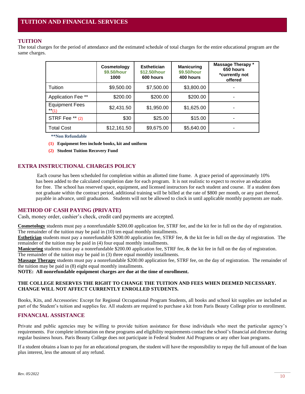### **TUITION**

The total charges for the period of attendance and the estimated schedule of total charges for the entire educational program are the same charges.

|                                | Cosmetology<br>\$9.50/hour<br>1000 | <b>Esthetician</b><br>\$12.50/hour<br>600 hours | <b>Manicuring</b><br>\$9.50/hour<br>400 hours | Massage Therapy *<br>650 hours<br>*currently not<br>offered |
|--------------------------------|------------------------------------|-------------------------------------------------|-----------------------------------------------|-------------------------------------------------------------|
| Tuition                        | \$9,500.00                         | \$7,500.00                                      | \$3,800.00                                    |                                                             |
| Application Fee **             | \$200.00                           | \$200.00                                        | \$200.00                                      | ۰                                                           |
| <b>Equipment Fees</b><br>$*11$ | \$2,431.50                         | \$1,950.00                                      | \$1,625.00                                    |                                                             |
| STRF Fee ** (2)                | \$30                               | \$25.00                                         | \$15.00                                       | ۰                                                           |
| <b>Total Cost</b>              | \$12,161.50                        | \$9,675.00                                      | \$5,640.00                                    |                                                             |

 **\*\*Non Refundable** 

- **(1) Equipment fees include books, kit and uniform**
- **(2) Student Tuition Recovery Fund**

#### **EXTRA INSTRUCTIONAL CHARGES POLICY**

Each course has been scheduled for completion within an allotted time frame. A grace period of approximately 10% has been added to the calculated completion date for each program. It is not realistic to expect to receive an education for free. The school has reserved space, equipment, and licensed instructors for each student and course. If a student does not graduate within the contract period, additional training will be billed at the rate of \$800 per month, or any part thereof, payable in advance, until graduation. Students will not be allowed to clock in until applicable monthly payments are made.

#### **METHOD OF CASH PAYING (PRIVATE)**

Cash, money order, cashier's check, credit card payments are accepted.

**Cosmetology** students must pay a nonrefundable \$200.00 application fee, STRF fee, and the kit fee in full on the day of registration. The remainder of the tuition may be paid in (10) ten equal monthly installments.

**Esthetician** students must pay a nonrefundable \$200.00 application fee, STRF fee, & the kit fee in full on the day of registration. The remainder of the tuition may be paid in (4) four equal monthly installments.

**Manicuring** students must pay a nonrefundable \$200.00 application fee, STRF fee, & the kit fee in full on the day of registration. The remainder of the tuition may be paid in (3) three equal monthly installments.

**Massage Therapy** students must pay a nonrefundable \$200.00 application fee, STRF fee, on the day of registration. The remainder of the tuition may be paid in (8) eight equal monthly installments.

**NOTE: All nonrefundable equipment charges are due at the time of enrollment.**

#### **THE COLLEGE RESERVES THE RIGHT TO CHANGE THE TUITION AND FEES WHEN DEEMED NECESSARY. CHANGE WILL NOT AFFECT CURRENTLY ENROLLED STUDENTS.**

Books, Kits, and Accessories: Except for Regional Occupational Program Students, all books and school kit supplies are included as part of the Student's tuition and supplies fee. All students are required to purchase a kit from Paris Beauty College prior to enrollment.

#### **FINANCIAL ASSISTANCE**

Private and public agencies may be willing to provide tuition assistance for those individuals who meet the particular agency's requirements. For complete information on these programs and eligibility requirements contact the school's financial aid director during regular business hours. Paris Beauty College does not participate in Federal Student Aid Programs or any other loan programs.

If a student obtains a loan to pay for an educational program, the student will have the responsibility to repay the full amount of the loan plus interest, less the amount of any refund.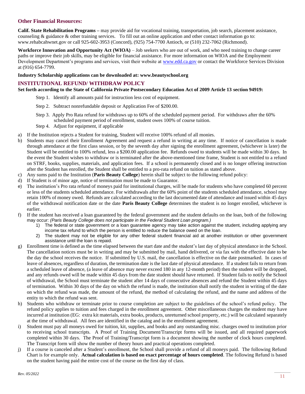#### **Other Financial Resources:**

**Calif. State Rehabilitation Programs –** may provide aid for vocational training, transportation, job search, placement assistance, counseling & guidance & other training services. To fill out an online application and other contact information go to: [www.rehabcahwnet.gov](http://www.rehabcahwnet.gov/) or call 925-602-3953 (Concord), (925) 754-7700 Antioch, or (510) 232-7062 (Richmond).

**Workforce Innovation and Opportunity Act (WIOA)** – Job seekers who are out of work, and who need training to change career paths or improve their job skills, may be eligible for financial assistance. For more information on WIOA and the Employment Development Department's programs and services, visit their website at [www.edd.ca.gov](http://www.edd.ca.gov/) or contact the Workforce Services Division at (916) 654-7799.

#### **Industry Scholarship applications can be downloaded at: www.beautyschool.org**

#### **INSTITUTIONAL REFUND/ WITHDRAW POLICY**

**Set forth according to the State of California Private Postsecondary Education Act of 2009 Article 13 section 94919:**

- Step 1. Identify all amounts paid for instruction less cost of equipment.
- Step 2. Subtract nonrefundable deposit or Application Fee of \$200.00.
- Step 3. Apply Pro Rata refund for withdraws up to 60% of the scheduled payment period. For withdraws after the 60% scheduled payment period of enrollment, student owes 100% of course tuition.
- Step 4. Adjust for equipment, if applicable
- a) If the Institution rejects a Student for training, Student will receive 100% refund of all monies.
- b) Students may cancel their Enrollment Agreement and request a refund in writing at any time. If notice of cancellation is made through attendance at the first class session, or by the seventh day after signing the enrollment agreement, (whichever is later) the Student will be entitled to 100% refund, less a \$200.00 application fee. Refunds owed to students will be made within 30 days. In the event the Student wishes to withdraw or is terminated after the above-mentioned time frame, Student is not entitled to a refund on STRF, books, supplies, materials, and application fees. If a school is permanently closed and is no longer offering instruction after the Student has enrolled, the Student shall be entitled to a pro-rata refund on tuition as stated above.
- c) Any sums paid to the Institution (**Paris Beauty College**) herein shall be subject to the following refund policy:
- d) If Student is of minor age, notice of termination must be made to Guarantor.
- e) The institution's Pro rata refund of moneys paid for institutional charges, will be made for students who have completed 60 percent or less of the students scheduled attendance. For withdrawals after the 60% point of the students scheduled attendance, school may retain 100% of money owed. Refunds are calculated according to the last documented date of attendance and issued within 45 days of the withdrawal notification date or the date **Paris Beauty College** determines the student is no longer enrolled, whichever is earlier.
- f) If the student has received a loan guaranteed by the federal government and the student defaults on the loan, both of the following may occur: *(Paris Beauty College does not participate in the Federal Student Loan program.)*
	- 1) The federal or state government or a loan guarantee agency may take action against the student, including applying any income tax refund to which the person is entitled to reduce the balance owed on the loan.
	- 2) The student may not be eligible for any other federal student financial aid at another institution or other government assistance until the loan is repaid.
- g) Enrollment time is defined as the time elapsed between the start date and the student's last day of physical attendance in the School. The cancellation notices must be in writing and may be submitted by mail, hand delivered, or via fax with the effective date to be the day the school receives the notice. If submitted by U.S. mail, the cancellation is effective on the date postmarked. In cases of leave of absences, regardless of duration, the termination date is the last date of physical attendance. If a student fails to return from a scheduled leave of absence, (a leave of absence may never exceed 180 in any 12-month period) then the student will be dropped, and any refunds owed will be made within 45 days from the date student should have returned. If Student fails to notify the School of withdrawal, the School must terminate the student after 14 days of consecutive absences and refund the Student within 45 days of termination. Within 30 days of the day on which the refund is made, the institution shall notify the student in writing of the date on which the refund was made, the amount of the refund, the method of calculating the refund, and the name and address of the entity to which the refund was sent.
- h) Students who withdraw or terminate prior to course completion are subject to the guidelines of the school's refund policy. The refund policy applies to tuition and fees charged in the enrollment agreement. Other miscellaneous charges the student may have incurred at institution (EG: extra kit materials, extra books, products, unreturned school property, etc.) will be calculated separately at the time of withdrawal. All fees are identified in the catalog and in the enrollment agreement.
- i) Student must pay all moneys owed for tuition, kit, supplies, and books and any outstanding misc. charges owed to institution prior to receiving school transcripts. A Proof of Training Document/Transcript forms will be issued, and all required paperwork completed within 30 days. The Proof of Training/Transcript form is a document showing the number of clock hours completed. The Transcript form will show the number of theory hours and practical operations completed.
- j) If a course is canceled after a Student's enrollment, the School shall provide a refund of all moneys paid. The following Refund Chart is for example only. **Actual calculation is based on exact percentage of hours completed**. The following Refund is based on the student having paid the entire cost of the course on the first day of class.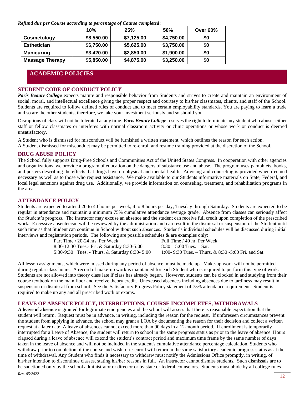*Refund due per Course according to percentage of Course completed*:

|                        | 10%        | 25%        | 50%        | <b>Over 60%</b> |
|------------------------|------------|------------|------------|-----------------|
| Cosmetology            | \$8,550.00 | \$7,125.00 | \$4,750.00 | \$0             |
| <b>Esthetician</b>     | \$6,750.00 | \$5,625.00 | \$3,750.00 | \$0             |
| <b>Manicuring</b>      | \$3,420.00 | \$2,850.00 | \$1,900.00 | \$0             |
| <b>Massage Therapy</b> | \$5,850.00 | \$4,875.00 | \$3,250.00 | \$0             |

### **ACADEMIC POLICIES**

#### **STUDENT CODE OF CONDUCT POLICY**

**Paris Beauty College** expects mature and responsible behavior from Students and strives to create and maintain an environment of social, moral, and intellectual excellence giving the proper respect and courtesy to his/her classmates, clients, and staff of the School. Students are required to follow defined rules of conduct and to meet certain employability standards. You are paying to learn a trade and so are the other students, therefore, we take your investment seriously and so should you.

Disruptions of class will not be tolerated at any time. *Paris Beauty College* reserves the right to terminate any student who abuses either staff or fellow classmates or interferes with normal classroom activity or clinic operations or whose work or conduct is deemed unsatisfactory.

A Student who is dismissed for misconduct will be furnished a written statement, which outlines the reason for such action.

A Student dismissed for misconduct may be permitted to re-enroll and resume training provided at the discretion of the School.

#### **DRUG ABUSE POLICY**

The School fully supports Drug-Free Schools and Communities Act of the United States Congress. In cooperation with other agencies and organizations, we provide a program of education on the dangers of substance use and abuse. The program uses pamphlets, books, and posters describing the effects that drugs have on physical and mental health. Advising and counseling is provided when deemed necessary as well as to those who request assistance. We make available to our Students informative materials on State, Federal, and local legal sanctions against drug use. Additionally, we provide information on counseling, treatment, and rehabilitation programs in the area.

#### **ATTENDANCE POLICY**

Students are expected to attend 20 to 40 hours per week, 4 to 8 hours per day, Tuesday through Saturday. Students are expected to be regular in attendance and maintain a minimum 75% cumulative attendance average grade. Absence from classes can seriously affect the Student's progress. The instructor may excuse an absence and the student can receive full credit upon completion of the prescribed work. Excessive absenteeism will be reviewed by the administration and can result in the dismissal or suspension of the Student until such time as that Student can continue in School without such absences. Student's individual schedules will be discussed during initial interviews and registration periods. The following are possible schedules & are examples only:

> Part Time / 20-24 hrs. Per Week Full Time / 40 hr. Per Week 8:30-12:30 Tues.- Fri. & Saturday 8:30-5:00 8:30 – 5:00 Tues. – Sat. 5:30-9:30 Tues. - Thurs. & Saturday 8:30- 5:00 1:00- 9:30 Tues. – Thurs. & 8:30 -5:00 Fri. and Sat.

All lesson assignments, which were missed during any period of absence, must be made up. Make-up work will not be permitted during regular class hours. A record of make-up work is maintained for each Student who is required to perform this type of work. Students are not allowed into theory class late if class has already begun. However, students can be clocked in and studying from their course textbook on the main floor and receive theory credit. Unexcused absences including absences due to tardiness may result in suspension or dismissal from school. See the Satisfactory Progress Policy statement of 75% attendance requirement. Student is required to make up any and all prescribed work or exams.

#### **LEAVE OF ABSENCE POLICY, INTERRUPTIONS, COURSE INCOMPLETES, WITHDRAWALS**

**A leave of absence** is granted for legitimate emergencies and the school will assess that there is reasonable expectation that the student will return. Request must be in advance, in writing, including the reason for the request. If unforeseen circumstances prevent the student from applying in advance, the school may grant a LOA by documenting the reason for their decision and collect a written request at a later date. A leave of absences cannot exceed more than 90 days in a 12-month period. If enrollment is temporarily interrupted for a Leave of Absence, the student will return to school in the same progress status as prior to the leave of absence. Hours elapsed during a leave of absence will extend the student's contract period and maximum time frame by the same number of days taken in the leave of absence and will not be included in the student's cumulative attendance percentage calculation. Students who withdraw prior to completion of the course and wish to re-enroll will return in the same satisfactory academic progress status as at the time of withdrawal. Any Student who finds it necessary to withdraw must notify the Admissions Office promptly, in writing, of his/her intention to discontinue classes, stating his/her reasons in full. An instructor cannot dismiss students. Such dismissals are to be sanctioned only by the school administrator or director or by state or federal counselors. Students must abide by all college rules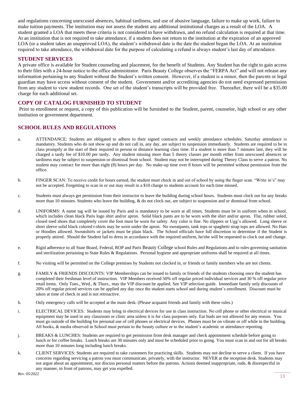and regulations concerning unexcused absences, habitual tardiness, and use of abusive language, failure to make up work, failure to make tuition payments. The institution may not assess the student any additional institutional charges as a result of the LOA. A student granted a LOA that meets these criteria is not considered to have withdrawn, and no refund calculation is required at that time. At an institution that is not required to take attendance, if a student does not return to the institution at the expiration of an approved LOA (or a student takes an unapproved LOA), the student's withdrawal date is the date the student began the LOA. At an institution required to take attendance, the withdrawal date for the purpose of calculating a refund is always student's last day of attendance.

#### **STUDENT SERVICES**

A private office is available for Student counseling and placement, for the benefit of Students. Any Student has the right to gain access to their files with a 24-hour notice to the office administrator. Paris Beauty College observes the "FERPA Act" and will not release any information pertaining to any Student without the Student's written consent. However, if a student is a minor, then the parents or legal guardian may have access without consent of the student. Government and/or accrediting agencies do not need expressed permission from any student to view student records. One set of the student's transcripts will be provided free. Thereafter, there will be a \$35.00 charge for each additional set.

#### **COPY OF CATALOG FURNISHED TO STUDENT**

Prior to enrollment or request, a copy of this publication will be furnished to the Student, parent, counselor, high school or any other institution or government department.

#### **SCHOOL RULES AND REGULATIONS**

- a. ATTENDANCE: Students are obligated to adhere to their signed contracts and weekly attendance schedules. Saturday attendance is mandatory. Students who do not show up and do not call in, any day, are subject to suspension immediately. Students are required to be in class promptly at the start of their required in person or distance learning class time. If a student is more than 7 minutes late, they will be charged a tardy fee of \$10.00 per tardy. Any student missing more than 5 theory classes per month either from unexcused absences or tardiness may be subject to suspension or dismissal from school. Student may not be interrupted during Theory Class to serve a patron. No student may contract for more than eight (8) hours per day. No make-up time over 8 hours will be permitted without permission from the office.
- b. FINGER SCAN: To receive credit for hours earned, the student must check in and out of school by using the finger scan. "Write in's" may not be accepted. Forgetting to scan in or out may result in a \$10 charge to students account for each time missed.
- c. Students must always get permission from their instructor to leave the building during school hours. Students must clock out for any breaks more than 10 minutes. Students who leave the building, & do not clock out, are subject to suspension and or dismissal from school.
- d. UNIFORMS: A name tag will be issued by Paris and is mandatory to be worn at all times. Students must be in uniform when in school, which includes clean black Paris logo shirt and/or apron. Solid black pants are to be worn with the shirt and/or apron. Flat, rubber soled, closed toed shoes that completely cover the foot must be worn for safety. Any color is fine. No slippers or Ugg's allowed. Long sleeve or short sleeve solid black colored t-shirts may be worn under the apron. No sweatpants, tank tops or spaghetti strap tops are allowed. No Hats or Hoodies allowed. Sweatshirts or jackets must be plain black. The School officials have full discretion to determine if the Student is properly attired. Should the Student fail to dress in accordance with the required uniform, he/she will be requested to clock out and change.
- e. Rigid adherence to all State Board, Federal, ROP and Paris Beauty College school Rules and Regulations and to rules governing sanitation and sterilization pertaining to State Rules & Regulations. Personal hygiene and appropriate uniforms shall be required at all times.
- f. No visiting will be permitted on the College premises by Students not clocked in, or friends or family members who are not clients.
- g. FAMILY & FRIENDS DISCOUNTS: VIP Memberships can be issued to family or friends of the students choosing once the student has completed their freshman level of instruction. VIP Members received 50% off regular priced individual services and 30 % off regular price retail items. Only Tues., Wed., & Thurs., may the VIP discount be applied. See VIP selection guide. Immediate family only discounts of 20% off regular priced services can be applied any day once the student starts school and during student's enrollment. Discount must be taken at time of check in and is not retroactive.
- h. Only emergency calls will be accepted at the main desk. (Please acquaint friends and family with these rules.)
- i. ELECTRICAL DEVICES: Students may bring in electrical devices for use in class instruction. No cell phone or other electrical or musical equipment may be used in any classroom or clinic area unless it is for class purposes only. Ear buds are not allowed for any reason. You must go outside of the building for personal use of cell phones or electrical devices. Phones must be on vibrate or off while in the building. All books, & media observed in School must pertain to the beauty culture or to the student's academic or attendance reporting.
- j. BREAKS & LUNCHES: Students are required to get permission from desk manager and check appointment schedule before going to lunch or for coffee breaks. Lunch breaks are 30 minutes only and must be scheduled prior to going. You must scan in and out for all breaks more than 10 minutes long including lunch breaks.
- k. CLIENT SERVICES: Students are required to take customers for practicing skills. Students may not decline to serve a client. If you have concerns regarding servicing a patron you must communicate, privately, with the instructor. NEVER at the reception desk. Students may not argue about an appointment, nor discuss personal matters before the patrons. Actions deemed inappropriate, rude, & disrespectful in any manner, in front of patrons, may get you expelled.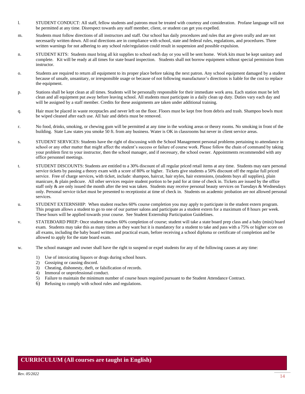- l. STUDENT CONDUCT: All staff, fellow students and patrons must be treated with courtesy and consideration. Profane language will not be permitted at any time. Disrespect towards any staff member, client, or student can get you expelled.
- m. Students must follow directions of all instructors and staff. Our school has daily procedures and rules that are given orally and are not necessarily written down. All oral directions are in compliance with school, state and federal rules, regulations, and procedures. Three written warnings for not adhering to any school rule/regulation could result in suspension and possible expulsion.
- n. STUDENT KITS: Students must bring all kit supplies to school each day or you will be sent home. Work kits must be kept sanitary and complete. Kit will be ready at all times for state board inspection. Students shall not borrow equipment without special permission from instructor.
- o. Students are required to return all equipment to its proper place before taking the next patron. Any school equipment damaged by a student because of unsafe, unsanitary, or irresponsible usage or because of not following manufacturer's directions is liable for the cost to replace the equipment.
- p. Stations shall be kept clean at all times. Students will be personally responsible for their immediate work area. Each station must be left clean and all equipment put away before leaving school. All students must participate in a daily clean up duty. Duties vary each day and will be assigned by a staff member. Credits for these assignments are taken under additional training.
- q. Hair must be placed in waste receptacles and never left on the floor. Floors must be kept free from debris and trash. Shampoo bowls must be wiped cleaned after each use. All hair and debris must be removed.
- r. No food, drinks, smoking, or chewing gum will be permitted at any time in the working areas or theory rooms. No smoking in front of the building. State Law states you smoke 50 ft. from any business. Water is OK in classrooms but never in client service areas.
- s. STUDENT SERVICES: Students have the right of discussing with the School Management personal problems pertaining to attendance in school or any other matter that might affect the student's success or failure of course work. Please follow the chain of command by taking your problem first to your instructor, then the school manager, and if necessary, the school owner. Appointments recommended with any office personnel meetings.
- t. STUDENT DISCOUNTS: Students are entitled to a 30% discount of all regular priced retail items at any time. Students may earn personal service tickets by passing a theory exam with a score of 80% or higher. Tickets give students a 50% discount off the regular full priced service. Free of charge services, with ticket, include: shampoo, haircut, hair styles, hair extensions, (students buys all supplies), plain manicure, & plain pedicure. All other services require student portion to be paid for at time of check in. Tickets are issued by the office staff only & are only issued the month after the test was taken. Students may receive personal beauty services on Tuesdays & Wednesdays only. Personal service ticket must be presented to receptionist at time of check in. Students on academic probation are not allowed personal services.
- u. STUDENT EXTERNSHIP: When student reaches 60% course completion you may apply to participate in the student extern program. This program allows a student to go to one of our partner salons and participate as a student extern for a maximum of 8 hours per week. These hours will be applied towards your course. See Student Externship Participation Guidelines.
- v. STATEBOARD PREP: Once student reaches 60% completion of course; student will take a state board prep class and a baby (mini) board exam. Students may take this as many times as they want but it is mandatory for a student to take and pass with a 75% or higher score on all exams, including the baby board written and practical exam, before receiving a school diploma or certificate of completion and be allowed to apply for the state board exam.
- w. The school manager and owner shall have the right to suspend or expel students for any of the following causes at any time:
	- 1) Use of intoxicating liquors or drugs during school hours.
	- 2) Gossiping or causing discord.
	- 3) Cheating, dishonesty, theft, or falsification of records.
	- 4) Immoral or unprofessional conduct.
	- 5) Failure to maintain the minimum number of course hours required pursuant to the Student Attendance Contract.
	- 6) Refusing to comply with school rules and regulations.

#### **CURRICULUM (All courses are taught in English)**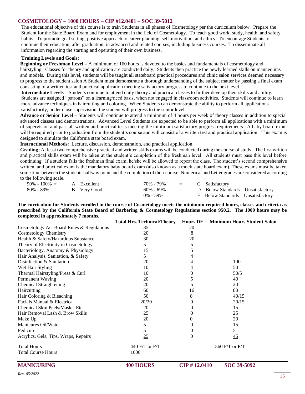#### **COSMETOLOGY – 1000 HOURS – CIP #12.0401 – SOC 39-5012**

The educational objective of this course is to train Students in all phases of Cosmetology per the curriculum below. Prepare the Student for the State Board Exam and for employment in the field of Cosmetology. To teach good work, study, health, and safety habits. To promote goal setting, positive approach to career planning, self-motivation, and ethics. To encourage Students to continue their education, after graduation, in advanced and related courses, including business courses. To disseminate all information regarding the starting and operating of their own business.

#### **Training Levels and Goals:**

**Beginning or Freshman Level –** A minimum of 160 hours is devoted to the basics and fundamentals of cosmetology and hairstyling. Classes for theory and application are conducted daily. Students then practice the newly learned skills on mannequins and models. During this level, students will be taught all stateboard practical procedures and clinic salon services deemed necessary to progress to the student salon A Student must demonstrate a thorough understanding of the subject matter by passing a final exam consisting of a written test and practical application meeting satisfactory progress to continue to the next level.

**Intermediate Levels –** Students continue to attend daily theory and practical classes to further develop their skills and ability. Students are assigned "patrons" on a learning/need basis, when not engaged in classroom activities. Students will continue to learn more advance techniques in haircutting and coloring. When Students can demonstrate the ability to perform all applications satisfactorily, under close supervision, the student will progress to the senior level.

**Advance or Senior Level –** Students will continue to attend a minimum of 4 hours per week of theory classes in addition to special advanced classes and demonstrations. Advanced Level Students are expected to be able to perform all applications with a minimum of supervision and pass all written and practical tests meeting the minimum satisfactory progress requirements. A baby board exam will be required prior to graduation from the student's course and will consist of a written test and practical application. This exam is designed to simulate the California state board exam.

**Instructional Methods**: Lecture, discussion, demonstration, and practical application.

**Grading;** At least two comprehensive practical and written skills exams will be conducted during the course of study. The first written and practical skills exam will be taken at the student's completion of the freshman level. All students must pass this level before continuing. If a student fails the freshman final exam, he/she will be allowed to repeat the class. The student's second comprehensive written, and practical exam is the mandatory baby board exam (also known as a mock state board exam). These exams must be taken some time between the students halfway point and the completion of their course. Numerical and Letter grades are considered according to the following scale.

| $90\% - 100\% = A$ Excellent |  | $70\%$ - $79\%$ = C Satisfactory |                           |                                    |
|------------------------------|--|----------------------------------|---------------------------|------------------------------------|
| $80\% - 89\% =$ B Very Good  |  | 60% - 69%                        | $\mathbf{r} = \mathbf{r}$ | D Below Standards – Unsatisfactory |
|                              |  | $0\% - 59\%$                     | $\mathbf{r} = \mathbf{r}$ | F Below Standards – Unsatisfactory |

**The curriculum for Students enrolled in the course of Cosmetology meets the minimum required hours, classes and criteria as prescribed by the California State Board of Barbering & Cosmetology Regulations section 950.2. The 1000 hours may be completed in approximately 7 months.**

|                                           | <b>Total Hrs. Technical/Theory</b> | <b>Hours DE</b> | <b>Minimum Hours Student Salon</b> |  |
|-------------------------------------------|------------------------------------|-----------------|------------------------------------|--|
| Cosmetology Act Board Rules & Regulations | 35                                 | 20              |                                    |  |
| <b>Cosmetology Chemistry</b>              | 20                                 | 8               |                                    |  |
| Health & Safety/Hazardous Substance       | 30                                 | 20              |                                    |  |
| Theory of Electricity in Cosmetology      | 5                                  | 5               |                                    |  |
| Bacteriology, Anatomy & Physiology        | 15                                 |                 |                                    |  |
| Hair Analysis, Sanitation, & Safety       | 5                                  |                 |                                    |  |
| Disinfection & Sanitation                 | 20                                 | 4               | 100                                |  |
| Wet Hair Styling                          | 10                                 | 4               | 50                                 |  |
| Thermal Hairstyling/Press & Curl          | 10                                 | 0               | 50/5                               |  |
| Permanent Waving                          | 20                                 | 5               | 40                                 |  |
| <b>Chemical Straightening</b>             | 20                                 | 5               | 20                                 |  |
| Haircutting                               | 60                                 | 16              | 80                                 |  |
| Hair Coloring & Bleaching                 | 50                                 | 8               | 40/15                              |  |
| Facials Manual & Electrical               | 20/20                              | 0               | 20/15                              |  |
| Chemical Skin Peels/Masks, Etc.           | 20                                 | 0               | 15                                 |  |
| Hair Removal Lash & Brow Skills           | 25                                 | 0               | 25                                 |  |
| Make Up                                   | 20                                 | 0               | 20                                 |  |
| Manicures Oil/Water                       | 5                                  | 0               | 15                                 |  |
| Pedicure                                  | 5                                  | 0               | 5                                  |  |
| Acrylics, Gels, Tips, Wraps, Repairs      | 25                                 | 0               | 45                                 |  |
| <b>Total Hours</b>                        | 440 F/T or P/T                     |                 | 560 F/T or P/T                     |  |
| <b>Total Course Hours</b>                 | 1000                               |                 |                                    |  |
| <b>MANICURING</b>                         | <b>400 HOURS</b>                   | CIP #12.0410    | SOC 39-5092                        |  |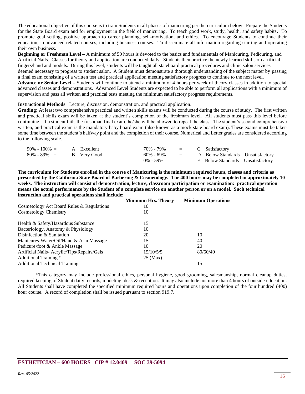The educational objective of this course is to train Students in all phases of manicuring per the curriculum below. Prepare the Students for the State Board exam and for employment in the field of manicuring. To teach good work, study, health, and safety habits. To promote goal setting, positive approach to career planning, self-motivation, and ethics. To encourage Students to continue their education, in advanced related courses, including business courses. To disseminate all information regarding starting and operating their own business.

**Beginning or Freshman Level –** A minimum of 50 hours is devoted to the basics and fundamentals of Manicuring, Pedicuring, and Artificial Nails. Classes for theory and application are conducted daily. Students then practice the newly learned skills on artificial fingers/hand and models. During this level, students will be taught all stateboard practical procedures and clinic salon services deemed necessary to progress to student salon. A Student must demonstrate a thorough understanding of the subject matter by passing a final exam consisting of a written test and practical application meeting satisfactory progress to continue to the next level. **Advance or Senior Level –** Students will continue to attend a minimum of 4 hours per week of theory classes in addition to special advanced classes and demonstrations. Advanced Level Students are expected to be able to perform all applications with a minimum of

**Instructional Methods**: Lecture, discussion, demonstration, and practical application.

supervision and pass all written and practical tests meeting the minimum satisfactory progress requirements.

**Grading**; At least two comprehensive practical and written skills exams will be conducted during the course of study. The first written and practical skills exam will be taken at the student's completion of the freshman level. All students must pass this level before continuing. If a student fails the freshman final exam, he/she will be allowed to repeat the class. The student's second comprehensive written, and practical exam is the mandatory baby board exam (also known as a mock state board exam). These exams must be taken some time between the student's halfway point and the completion of their course. Numerical and Letter grades are considered according to the following scale.

| $90\% - 100\% =$            | A Excellent | $70\%$ - $79\%$ = C Satisfactory |  |                                        |
|-----------------------------|-------------|----------------------------------|--|----------------------------------------|
| $80\% - 89\% = B$ Very Good |             | 60% - 69%                        |  | $=$ D Below Standards – Unsatisfactory |
|                             |             | $0\% - 59\%$                     |  | $=$ F Below Standards – Unsatisfactory |

**The curriculum for Students enrolled in the course of Manicuring is the minimum required hours, classes and criteria as prescribed by the California State Board of Barbering & Cosmetology. The 400 hours may be completed in approximately 10 weeks. The instruction will consist of demonstration, lecture, classroom participation or examination: practical operation means the actual performance by the Student of a complete service on another person or on a model. Such technical instruction and practical operations shall include:**

|                                            | <b>Minimum Hrs. Theory</b> | <b>Minimum Operations</b> |
|--------------------------------------------|----------------------------|---------------------------|
| Cosmetology Act Board Rules & Regulations  | 10                         |                           |
| Cosmetology Chemistry                      | 10                         |                           |
| Health & Safety/Hazardous Substance        | 15                         |                           |
| Bacteriology, Anatomy & Physiology         | 10                         |                           |
| Disinfection & Sanitation                  | 20                         | 10                        |
| Manicures-Water/Oil/Hand & Arm Massage     | 15                         | 40                        |
| Pedicure/foot & Ankle Massage              | 10                         | 20                        |
| Artificial Nails-Acrylic/Tips/Repairs/Gels | 15/10/5/5                  | 80/60/40                  |
| Additional Training *                      | $25 \text{ (Max)}$         |                           |
| <b>Additional Technical Training</b>       |                            | 15                        |

\*This category may include professional ethics, personal hygiene, good grooming, salesmanship, normal cleanup duties, required keeping of Student daily records, modeling, desk & reception. It may also include not more than 4 hours of outside education. All Students shall have completed the specified minimum required hours and operations upon completion of the four hundred (400) hour course. A record of completion shall be issued pursuant to section 919.7.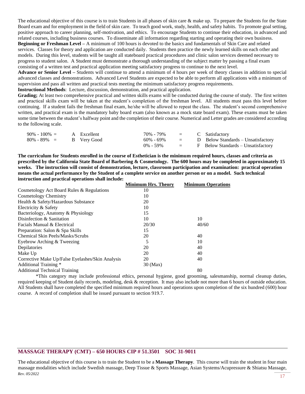The educational objective of this course is to train Students in all phases of skin care  $\&$  make up. To prepare the Students for the State Board exam and for employment in the field of skin care. To teach good work, study, health, and safety habits. To promote goal setting, positive approach to career planning, self-motivation, and ethics. To encourage Students to continue their education, in advanced and related courses, including business courses. To disseminate all information regarding starting and operating their own business. **Beginning or Freshman Level –** A minimum of 100 hours is devoted to the basics and fundamentals of Skin Care and related services. Classes for theory and application are conducted daily. Students then practice the newly learned skills on each other and models. During this level, students will be taught all stateboard practical procedures and clinic salon services deemed necessary to progress to student salon. A Student must demonstrate a thorough understanding of the subject matter by passing a final exam consisting of a written test and practical application meeting satisfactory progress to continue to the next level.

**Advance or Senior Level –** Students will continue to attend a minimum of 4 hours per week of theory classes in addition to special advanced classes and demonstrations. Advanced Level Students are expected to be able to perform all applications with a minimum of supervision and pass all written and practical tests meeting the minimum satisfactory progress requirements.

**Instructional Methods**: Lecture, discussion, demonstration, and practical application.

**Grading;** At least two comprehensive practical and written skills exams will be conducted during the course of study. The first written and practical skills exam will be taken at the student's completion of the freshman level. All students must pass this level before continuing. If a student fails the freshman final exam, he/she will be allowed to repeat the class. The student's second comprehensive written, and practical exam is the mandatory baby board exam (also known as a mock state board exam). These exams must be taken some time between the student's halfway point and the completion of their course. Numerical and Letter grades are considered according to the following scale.

| $90\% - 100\% =$            | A Excellent | $70\%$ - $79\%$ = C Satisfactory |  |                                                  |
|-----------------------------|-------------|----------------------------------|--|--------------------------------------------------|
| $80\% - 89\% =$ B Very Good |             | 60% - 69%                        |  | $=$ D Below Standards – Unsatisfactory           |
|                             |             |                                  |  | $0\%$ - 59% = F Below Standards – Unsatisfactory |

**The curriculum for Students enrolled in the course of Esthetician is the minimum required hours, classes and criteria as prescribed by the California State Board of Barbering & Cosmetology. The 600 hours may be completed in approximately 15 weeks. The instruction will consist of demonstration, lecture, classroom participation and examination: practical operation means the actual performance by the Student of a complete service on another person or on a model. Such technical instruction and practical operations shall include:**

|                                                  | <b>Minimum Hrs. Theory</b> | <b>Minimum Operations</b> |
|--------------------------------------------------|----------------------------|---------------------------|
| Cosmetology Act Board Rules & Regulations        | 10                         |                           |
| Cosmetology Chemistry                            | 10                         |                           |
| Health & Safety/Hazardous Substance              | 20                         |                           |
| Electricity & Safety                             | 10                         |                           |
| Bacteriology, Anatomy & Physiology               | 15                         |                           |
| Disinfection & Sanitation                        | 10                         | 10                        |
| Facials Manual & Electrical                      | 20/30                      | 40/60                     |
| Preparation: Salon & Spa Skills                  | 15                         |                           |
| Chemical Skin Peels/Masks/Scrubs                 | 20                         | 40                        |
| Eyebrow Arching & Tweezing                       | 5                          | 10                        |
| Depilatories                                     | 20                         | 40                        |
| Make Up                                          | 20                         | 40                        |
| Corrective Make Up/False Eyelashes/Skin Analysis | 20                         | 40                        |
| Additional Training *                            | 30 (Max)                   |                           |
| <b>Additional Technical Training</b>             |                            | 80                        |
|                                                  |                            |                           |

\*This category may include professional ethics, personal hygiene, good grooming, salesmanship, normal cleanup duties, required keeping of Student daily records, modeling, desk & reception. It may also include not more than 6 hours of outside education. All Students shall have completed the specified minimum required hours and operations upon completion of the six hundred (600) hour course. A record of completion shall be issued pursuant to section 919.7.

#### **MASSAGE THERAPY (CMT) – 650 HOURS CIP # 51.3501 SOC 31-9011**

**Rev.** 05/2022 The educational objective of this course is to train the Student to be a **Massage Therapy**. This course will train the student in four main massage modalities which include Swedish massage, Deep Tissue & Sports Massage, Asian Systems/Acupressure & Shiatsu Massage,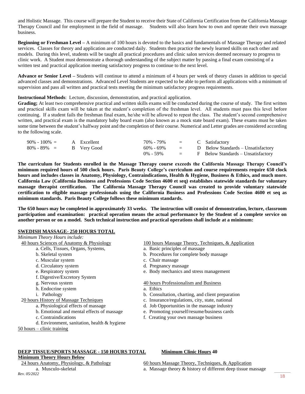and Holistic Massage. This course will prepare the Student to receive their State of California Certification from the California Massage Therapy Council and for employment in the field of massage. Students will also learn how to own and operate their own massage business.

**Beginning or Freshman Level –** A minimum of 100 hours is devoted to the basics and fundamentals of Massage Therapy and related services. Classes for theory and application are conducted daily. Students then practice the newly learned skills on each other and models. During this level, students will be taught all practical procedures and clinic salon services deemed necessary to progress to clinic work. A Student must demonstrate a thorough understanding of the subject matter by passing a final exam consisting of a written test and practical application meeting satisfactory progress to continue to the next level.

**Advance or Senior Level –** Students will continue to attend a minimum of 4 hours per week of theory classes in addition to special advanced classes and demonstrations. Advanced Level Students are expected to be able to perform all applications with a minimum of supervision and pass all written and practical tests meeting the minimum satisfactory progress requirements.

#### **Instructional Methods**: Lecture, discussion, demonstration, and practical application.

**Grading;** At least two comprehensive practical and written skills exams will be conducted during the course of study. The first written and practical skills exam will be taken at the student's completion of the freshman level. All students must pass this level before continuing. If a student fails the freshman final exam, he/she will be allowed to repeat the class. The student's second comprehensive written, and practical exam is the mandatory baby board exam (also known as a mock state board exam). These exams must be taken some time between the student's halfway point and the completion of their course. Numerical and Letter grades are considered according to the following scale.

| $90\% - 100\% = A$ Excellent |  | $70\%$ - $79\%$ = C Satisfactory |  |                                        |
|------------------------------|--|----------------------------------|--|----------------------------------------|
| $80\% - 89\% =$ B Very Good  |  | $60\% - 69\%$                    |  | $=$ D Below Standards – Unsatisfactory |
|                              |  | $0\% - 59\%$                     |  | $=$ F Below Standards – Unsatisfactory |

**The curriculum for Students enrolled in the Massage Therapy course exceeds the California Massage Therapy Council's minimum required hours of 500 clock hours. Paris Beauty College's curriculum and course requirements require 650 clock hours and includes classes in Anatomy, Physiology, Contraindications, Health & Hygiene, Business & Ethics, and much more. California Law (California Business and Professions Code Section 4600 et seq) establishes statewide standards for voluntary massage therapist certification. The California Massage Therapy Council was created to provide voluntary statewide certification to eligible massage professionals using the California Business and Professions Code Section 4600 et seq as minimum standards. Paris Beauty College follows these minimum standards.**

**The 650 hours may be completed in approximately 33 weeks. The instruction will consist of demonstration, lecture, classroom participation and examination: practical operation means the actual performance by the Student of a complete service on another person or on a model. Such technical instruction and practical operations shall include at a minimum:**

#### **SWEDISH MASSAGE- 250 HOURS TOTAL** *Minimum Theory Hours include:*

| 40 hours Sciences of Anatomy & Physiology | 100 hours Massage Theory, Techniques, & Application |
|-------------------------------------------|-----------------------------------------------------|
| a. Cells, Tissues, Organs, Systems,       | a. Basic principles of massage                      |
| b. Skeletal system                        | b. Procedures for complete body massage             |
| c. Muscular system                        | c. Chair massage                                    |
| d. Circulatory system                     | d. Pregnancy massage                                |
| e. Respiratory system                     | e. Body mechanics and stress management             |
| f. Digestive/Excretory System             |                                                     |
| g. Nervous system                         | 40 hours Professionalism and Business               |
| h. Endocrine system                       | a. Ethics                                           |
| i. Pathology                              | b. Consultation, charting, and client preparation   |
| 20 hours History of Massage Techniques    | c. Insurance/regulations, city, state, national     |
|                                           |                                                     |

- a. Physiological effects of massage d. Job Opportunities in the massage industry
- b. Emotional and mental effects of massage e. Promoting yourself/resume/business cards
- c. Contraindications f. Creating your own massage business
- d. Environment, sanitation, health & hygiene
- 50 hours clinic training

## **DEEP TISSUE/SPORTS MASSAGE - 150 HOURS TOTAL Minimum Clinic Hours 40**

**Minimum Theory Hours Below**<br>24 hours Anatomy, Physiology, & Pathology

60 hours Massage Theory, Techniques, & Application

**Rev.** 05/2022

a. Musculo-skeletal a. Massage theory & history of different deep tissue massage  $Rev. 05/2022$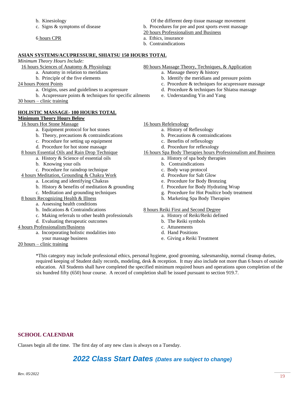b. Kinesiology Of the different deep tissue massage movement

- c. Signs & symptoms of disease b. Procedures for pre and post sports event massage
	- 20 hours Professionalism and Business
- 6 hours CPR a. Ethics, insurance
	- b. Contraindications

#### **ASIAN SYSTEMS/ACUPRESSURE, SHIATSU 150 HOURS TOTAL**

*Minimum Theory Hours Include:* 

- -
	-
- -
- b. Acupressure points & techniques for specific ailments e. Understanding Yin and Yang 30 hours – clinic training

#### **HOLISTIC MASSAGE- 100 HOURS TOTAL Minimum Theory Hours Below**

#### 16 hours Hot Stone Massage 16 hours Refelexology

- a. Equipment protocol for hot stones a. History of Reflexology
- b. Theory, precautions  $\&$  contraindications b. Precautions  $\&$  contraindications
- c. Procedure for setting up equipment c. Benefits of reflexology
- d. Procedure for hot stone massage d. Procedure for reflexology

- a. History & Science of essential oils a. History of spa body therapies
- b. Knowing your oils b. Contraindications
- c. Procedure for raindrop technique c. Body wrap protocol
- 4 hours Meditation, Grounding & Chakra Work d. Procedure for Salt Glow
	- a. Locating and identifying Chakras e. Procedure for Body Bronzing
	- b. History & benefits of meditation & grounding f. Procedure for Body Hydrating Wrap
	-
- 8 hours Recognizing Health & Illness h. Marketing Spa Body Therapies
	- a. Assessing health conditions
		-
		- c. Making referrals to other health professionals a. History of Reiki/Reiki defined
		- d. Evaluating therapeutic outcomes b. The Reiki symbols

#### 4 hours Professionalism/Business c. Attunements

- a. Incorporating holistic modalities into d. Hand Positions
- 
- 20 hours clinic training

#### 16 hours Sciences of Anatomy & Physiology 80 hours Massage Theory, Techniques, & Application

- a. Anatomy in relation to meridians a. Massage theory & history
- b. Principle of the five elements b. Identify the meridians and pressure points
- 24 hours Potent Points 22 hours Potent Points c. Procedure & techniques for acupressure massage
	- a. Origins, uses and guidelines to acupressure d. Procedure & techniques for Shiatsu massage
		-

- -
	-
- 

#### 8 hours Essential Oils and Rain Drop Technique 16 hours Spa Body Therapies hours Professionalism and Business

- 
- 
- 
- 
- 
- 
- c. Meditation and grounding techniques g. Procedure for Hot Poultice body treatment
	-

#### b. Indications & Contraindications 8 hours Reiki First and Second Degree

- 
- 
- 
- 
- your massage business e. Giving a Reiki Treatment

\*This category may include professional ethics, personal hygiene, good grooming, salesmanship, normal cleanup duties, required keeping of Student daily records, modeling, desk & reception. It may also include not more than 6 hours of outside education. All Students shall have completed the specified minimum required hours and operations upon completion of the six hundred fifty (650) hour course. A record of completion shall be issued pursuant to section 919.7.

### **SCHOOL CALENDAR**

Classes begin all the time. The first day of any new class is always on a Tuesday.

## *2022 Class Start Dates (Dates are subject to change)*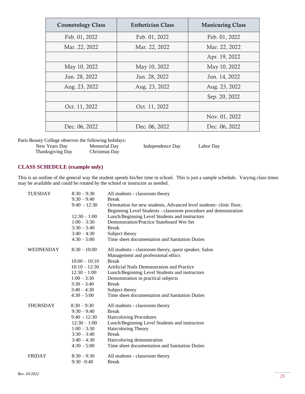| <b>Cosmetology Class</b> | <b>Esthetician Class</b>       | <b>Manicuring Class</b> |
|--------------------------|--------------------------------|-------------------------|
| Feb. 01, 2022            | Feb. 01, 2022                  | Feb. 01, 2022           |
| Mar. 22, 2022            | Mar. 22, 2022<br>Mar. 22, 2022 |                         |
|                          |                                | Apr. 19, 2022           |
| May 10, 2022             | May 10, 2022                   | May 10, 2022            |
| Jun. 28, 2022            | Jun. 28, 2022                  | Jun. 14, 2022           |
| Aug. 23, 2022            | Aug. 23, 2022<br>Aug. 23, 2022 |                         |
|                          |                                | Sep. 20, 2022           |
| Oct. 11, 2022            | Oct. 11, 2022                  |                         |
|                          |                                | Nov. 01, 2022           |
| Dec. 06, 2022            | Dec. 06, 2022                  | Dec. 06, 2022           |

Paris Beauty College observes the following holidays:

New Years Day Memorial Day Independence Day Labor Day Thanksgiving Day Christmas Day

#### **CLASS SCHEDULE (example only)**

This is an outline of the general way the student spends his/her time in school. This is just a sample schedule. Varying class times may be available and could be rotated by the school or instructor as needed.

| <b>TUESDAY</b>   | $8:30 - 9:30$   | All students - classroom theory                                                                                                         |
|------------------|-----------------|-----------------------------------------------------------------------------------------------------------------------------------------|
|                  | $9:30 - 9:40$   | <b>Break</b>                                                                                                                            |
|                  | $9:40 - 12:30$  | Orientation for new students, Advanced level students-clinic floor,<br>Beginning Level Students - classroom procedure and demonstration |
|                  | $12:30 - 1:00$  | Lunch/Beginning Level Students and instructors                                                                                          |
|                  | $1:00 - 3:30$   | Demonstration/Practice Stateboard Wet Set                                                                                               |
|                  | $3:30 - 3:40$   | <b>Break</b>                                                                                                                            |
|                  | $3:40 - 4:30$   | Subject theory                                                                                                                          |
|                  | $4:30 - 5:00$   | Time sheet documentation and Sanitation Duties                                                                                          |
| <b>WEDNESDAY</b> | $8:30 - 10:00$  | All students - classroom theory, quest speaker, Salon                                                                                   |
|                  |                 | Management and professional ethics                                                                                                      |
|                  | $10:00 - 10:10$ | <b>Break</b>                                                                                                                            |
|                  | $10:10 - 12:30$ | Artificial Nails Demonstration and Practice                                                                                             |
|                  | $12:30 - 1:00$  | Lunch/Beginning Level Students and instructors                                                                                          |
|                  | $1:00 - 3:30$   | Demonstration in practical subjects                                                                                                     |
|                  | $3:30 - 3:40$   | <b>Break</b>                                                                                                                            |
|                  | $3:40 - 4:30$   | Subject theory                                                                                                                          |
|                  | $4:30 - 5:00$   | Time sheet documentation and Sanitation Duties                                                                                          |
| <b>THURSDAY</b>  | $8:30 - 9:30$   | All students - classroom theory                                                                                                         |
|                  | $9:30 - 9:40$   | <b>Break</b>                                                                                                                            |
|                  | $9:40 - 12:30$  | Haircoloring Procedures                                                                                                                 |
|                  | $12:30 - 1:00$  | Lunch/Beginning Level Students and instructors                                                                                          |
|                  | $1:00 - 3:30$   | Haircoloring Theory                                                                                                                     |
|                  | $3:30 - 3:40$   | <b>Break</b>                                                                                                                            |
|                  | $3:40 - 4:30$   | Haircoloring demonstration                                                                                                              |
|                  | $4:30 - 5:00$   | Time sheet documentation and Sanitation Duties                                                                                          |
| <b>FRIDAY</b>    | $8:30 - 9:30$   | All students - classroom theory                                                                                                         |
|                  | $9:30 - 9:40$   | <b>Break</b>                                                                                                                            |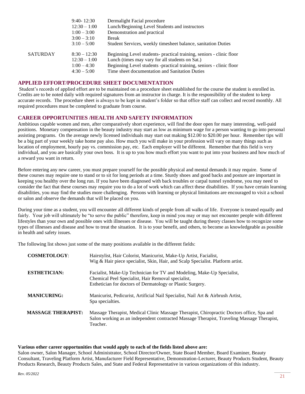| Break |                                                                                                                                                                                                                                                                                                                                                                                |
|-------|--------------------------------------------------------------------------------------------------------------------------------------------------------------------------------------------------------------------------------------------------------------------------------------------------------------------------------------------------------------------------------|
|       | Student Services, weekly timesheet balance, sanitation Duties                                                                                                                                                                                                                                                                                                                  |
|       | Beginning Level students- practical training, seniors - clinic floor                                                                                                                                                                                                                                                                                                           |
|       | Beginning Level students -practical training, seniors - clinic floor                                                                                                                                                                                                                                                                                                           |
|       |                                                                                                                                                                                                                                                                                                                                                                                |
|       | $9:40 - 12:30$<br>Dermalight Facial procedure<br>Lunch/Beginning Level Students and instructors<br>$12:30 - 1:00$<br>Demonstration and practical<br>$1:00 - 3:00$<br>$3:00 - 3:10$<br>$3:10 - 5:00$<br>$8:30 - 12:30$<br>Lunch (times may vary for all students on Sat.)<br>$12:30 - 1:00$<br>$1:00 - 4:30$<br>Time sheet documentation and Sanitation Duties<br>$4:30 - 5:00$ |

#### **APPLIED EFFORT/PROCEDURE SHEET DOCUMENTATION**

Student's records of applied effort are to be maintained on a procedure sheet established for the course the student is enrolled in. Credits are to be noted daily with required signatures from an instructor in charge. It is the responsibility of the student to keep accurate records. The procedure sheet is always to be kept in student's folder so that office staff can collect and record monthly. All required procedures must be completed to graduate from course.

#### **CAREER OPPORTUNITIES /HEALTH AND SAFETY INFORMATION**

Ambitious capable women and men, after comparatively short experience, will find the door open for many interesting, well-paid positions. Monetary compensation in the beauty industry may start as low as minimum wage for a person wanting to go into personal assisting programs. On the average newly licensed individuals may start out making \$12.00 to \$20.00 per hour. Remember tips will be a big part of your weekly take home pay also. How much you will make in your profession will vary on many things such as location of employment, hourly pay vs. commission pay, etc. Each employer will be different. Remember that this field is very individual, and you are basically your own boss. It is up to you how much effort you want to put into your business and how much of a reward you want in return.

Before entering any new career, you must prepare yourself for the possible physical and mental demands it may require. Some of these courses may require one to stand or to sit for long periods at a time. Sturdy shoes and good backs and posture are important in keeping you healthy over the long run. If you have been diagnosed with back troubles or carpal tunnel syndrome, you may need to consider the fact that these courses may require you to do a lot of work which can affect these disabilities. If you have certain learning disabilities, you may find the studies more challenging. Persons with learning or physical limitations are encouraged to visit a school or salon and observe the demands that will be placed on you.

During your time as a student, you will encounter all different kinds of people from all walks of life. Everyone is treated equally and fairly. Your job will ultimately be "to serve the public" therefore, keep in mind you may or may not encounter people with different lifestyles than your own and possible ones with illnesses or disease. You will be taught during theory classes how to recognize some types of illnesses and disease and how to treat the situation. It is to your benefit, and others, to become as knowledgeable as possible in health and safety issues.

The following list shows just some of the many positions available in the different fields:

| <b>COSMETOLOGY:</b>       | Hairstylist, Hair Colorist, Manicurist, Make-Up Artist, Facialist,<br>Wig & Hair piece specialist, Skin, Hair, and Scalp Specialist. Platform artist.                                               |
|---------------------------|-----------------------------------------------------------------------------------------------------------------------------------------------------------------------------------------------------|
| <b>ESTHETICIAN:</b>       | Facialist, Make-Up Technician for TV and Modeling, Make-Up Specialist,<br>Chemical Peel Specialist, Hair Removal specialist,<br>Esthetician for doctors of Dermatology or Plastic Surgery.          |
| <b>MANICURING:</b>        | Manicurist, Pedicurist, Artificial Nail Specialist, Nail Art & Airbrush Artist,<br>Spa specialties.                                                                                                 |
| <b>MASSAGE THERAPIST:</b> | Massage Therapist, Medical Clinic Massage Therapist, Chiropractic Doctors office, Spa and<br>Salon working as an independent contracted Massage Therapist, Traveling Massage Therapist,<br>Teacher. |

#### **Various other career opportunities that would apply to each of the fields listed above are:**

Salon owner, Salon Manager, School Administrator, School Director/Owner, State Board Member, Board Examiner, Beauty Consultant, Traveling Platform Artist, Manufacturer Field Representative, Demonstration-Lecturer, Beauty Products Student, Beauty Products Research, Beauty Products Sales, and State and Federal Representative in various organizations of this industry.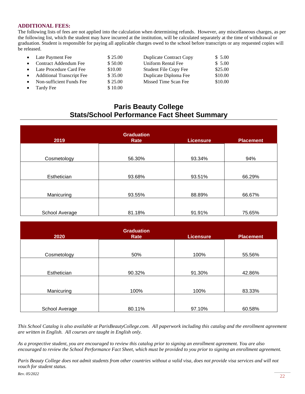#### **ADDITIONAL FEES:**

The following lists of fees are not applied into the calculation when determining refunds. However, any miscellaneous charges, as per the following list, which the student may have incurred at the institution, will be calculated separately at the time of withdrawal or graduation. Student is responsible for paying all applicable charges owed to the school before transcripts or any requested copies will be released.

| • Late Payment Fee          | \$25.00 | <b>Duplicate Contract Copy</b> | \$5.00  |
|-----------------------------|---------|--------------------------------|---------|
| • Contract Addendum Fee     | \$50.00 | Uniform Rental Fee             | \$5.00  |
| • Late Procedure Card Fee   | \$10.00 | <b>Student File Copy Fee</b>   | \$25.00 |
| • Additional Transcript Fee | \$35.00 | Duplicate Diploma Fee          | \$10.00 |
| • Non-sufficient Funds Fee  | \$25.00 | Missed Time Scan Fee           | \$10.00 |
| Tardy Fee                   | \$10.00 |                                |         |

## **Paris Beauty College Stats/School Performance Fact Sheet Summary**

| 2019           | <b>Graduation</b><br>Rate | <b>Licensure</b> | <b>Placement</b> |
|----------------|---------------------------|------------------|------------------|
| Cosmetology    | 56.30%                    | 93.34%           | 94%              |
| Esthetician    | 93.68%                    | 93.51%           | 66.29%           |
| Manicuring     | 93.55%                    | 88.89%           | 66.67%           |
| School Average | 81.18%                    | 91.91%           | 75.65%           |

| 2020           | <b>Graduation</b><br>Rate | Licensure | <b>Placement</b> |
|----------------|---------------------------|-----------|------------------|
|                |                           |           |                  |
| Cosmetology    | 50%                       | 100%      | 55.56%           |
|                |                           |           |                  |
| Esthetician    | 90.32%                    | 91.30%    | 42.86%           |
|                |                           |           |                  |
| Manicuring     | 100%                      | 100%      | 83.33%           |
|                |                           |           |                  |
| School Average | 80.11%                    | 97.10%    | 60.58%           |

*This School Catalog is also available at ParisBeautyCollege.com. All paperwork including this catalog and the enrollment agreement are written in English. All courses are taught in English only.*

*As a prospective student, you are encouraged to review this catalog prior to signing an enrollment agreement. You are also encouraged to review the School Performance Fact Sheet, which must be provided to you prior to signing an enrollment agreement.*

*Paris Beauty College does not admit students from other countries without a valid visa, does not provide visa services and will not vouch for student status.*